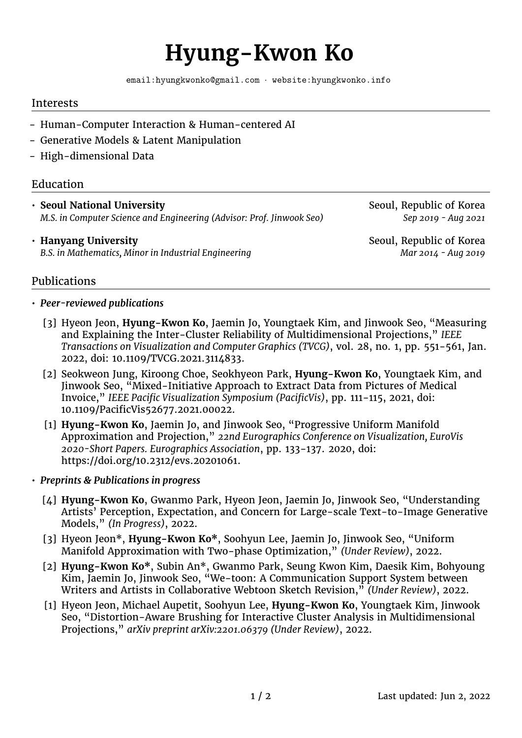# **Hyung-Kwon Ko**

[email:hyungkwonko@gmail.com](mailto:hyungkwonko@gmail.com) · [website:hyungkwonko.info](https://hyungkwonko.info)

#### Interests

- Human-Computer Interaction & Human-centered AI
- Generative Models & Latent Manipulation
- High-dimensional Data

## Education

• **Seoul National University Seoul, Republic of Korea** Seoul, Republic of Korea *M.S. in Computer Science and Engineering (Advisor: Prof. Jinwook Seo)* Sep 2019 - Aug 2021

#### • **Hanyang University Seoul, Republic of Korea** Seoul, Republic of Korea B.S. in Mathematics, Minor in Industrial Engineering Mathematics, Minor in Industrial Engineering

## Publications

#### • *Peer-reviewed publications*

- [3] Hyeon Jeon, **Hyung-Kwon Ko**, Jaemin Jo, Youngtaek Kim, and Jinwook Seo, "Measuring and Explaining the Inter-Cluster Reliability of Multidimensional Projections," *IEEE Transactions on Visualization and Computer Graphics (TVCG)*, vol. 28, no. 1, pp. 551-561, Jan. 2022, doi: 10.1109/TVCG.2021.3114833.
- [2] Seokweon Jung, Kiroong Choe, Seokhyeon Park, **Hyung-Kwon Ko**, Youngtaek Kim, and Jinwook Seo, "Mixed-Initiative Approach to Extract Data from Pictures of Medical Invoice," *IEEE Pacific Visualization Symposium (PacificVis)*, pp. 111-115, 2021, doi: 10.1109/PacificVis52677.2021.00022.
- [1] **Hyung-Kwon Ko**, Jaemin Jo, and Jinwook Seo, "Progressive Uniform Manifold Approximation and Projection," *22nd Eurographics Conference on Visualization, EuroVis 2020-Short Papers. Eurographics Association*, pp. 133-137. 2020, doi: https://doi.org/10.2312/evs.20201061.
- *Preprints & Publications in progress*
	- [4] **Hyung-Kwon Ko**, Gwanmo Park, Hyeon Jeon, Jaemin Jo, Jinwook Seo, "Understanding Artists' Perception, Expectation, and Concern for Large-scale Text-to-Image Generative Models," *(In Progress)*, 2022.
	- [3] Hyeon Jeon\*, **Hyung-Kwon Ko\***, Soohyun Lee, Jaemin Jo, Jinwook Seo, "Uniform Manifold Approximation with Two-phase Optimization," *(Under Review)*, 2022.
	- [2] **Hyung-Kwon Ko\***, Subin An\*, Gwanmo Park, Seung Kwon Kim, Daesik Kim, Bohyoung Kim, Jaemin Jo, Jinwook Seo, "We-toon: A Communication Support System between Writers and Artists in Collaborative Webtoon Sketch Revision," *(Under Review)*, 2022.
	- [1] Hyeon Jeon, Michael Aupetit, Soohyun Lee, **Hyung-Kwon Ko**, Youngtaek Kim, Jinwook Seo, "Distortion-Aware Brushing for Interactive Cluster Analysis in Multidimensional Projections," *arXiv preprint arXiv:2201.06379 (Under Review)*, 2022.